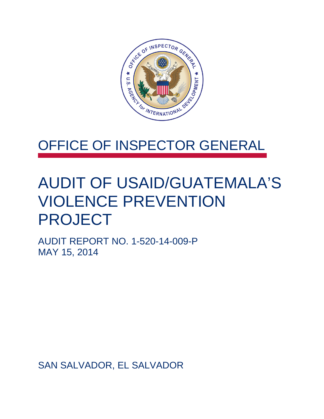

## OFFICE OF INSPECTOR GENERAL

## AUDIT OF USAID/GUATEMALA'S VIOLENCE PREVENTION PROJECT

AUDIT REPORT NO. 1-520-14-009-P MAY 15, 2014

SAN SALVADOR, EL SALVADOR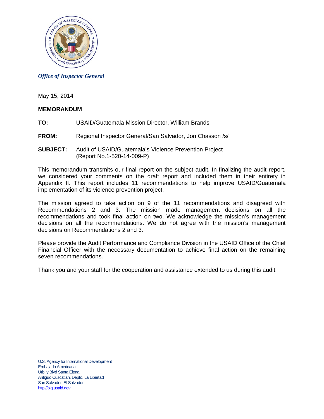

### *Office of Inspector General*

May 15, 2014

#### **MEMORANDUM**

- **TO:** USAID/Guatemala Mission Director, William Brands
- **FROM:** Regional Inspector General/San Salvador, Jon Chasson /s/
- **SUBJECT:** Audit of USAID/Guatemala's Violence Prevention Project (Report No.1-520-14-009-P)

This memorandum transmits our final report on the subject audit. In finalizing the audit report, we considered your comments on the draft report and included them in their entirety in Appendix II. This report includes 11 recommendations to help improve USAID/Guatemala implementation of its violence prevention project.

The mission agreed to take action on 9 of the 11 recommendations and disagreed with Recommendations 2 and 3. The mission made management decisions on all the recommendations and took final action on two. We acknowledge the mission's management decisions on all the recommendations. We do not agree with the mission's management decisions on Recommendations 2 and 3.

Please provide the Audit Performance and Compliance Division in the USAID Office of the Chief Financial Officer with the necessary documentation to achieve final action on the remaining seven recommendations.

Thank you and your staff for the cooperation and assistance extended to us during this audit.

U.S. Agency for International Development Embajada Americana Urb. y Blvd Santa Elena Antiguo Cuscatlan, Depto. La Libertad San Salvador, El Salvador [http://oig.usaid.gov](http://oig.usaid.gov/)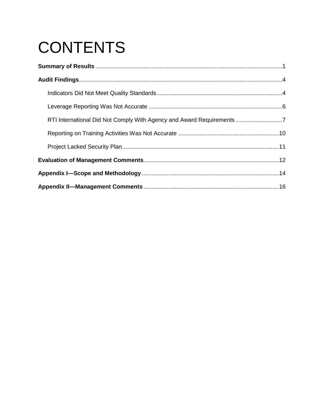# **CONTENTS**

| RTI International Did Not Comply With Agency and Award Requirements 7 |  |
|-----------------------------------------------------------------------|--|
|                                                                       |  |
|                                                                       |  |
|                                                                       |  |
|                                                                       |  |
|                                                                       |  |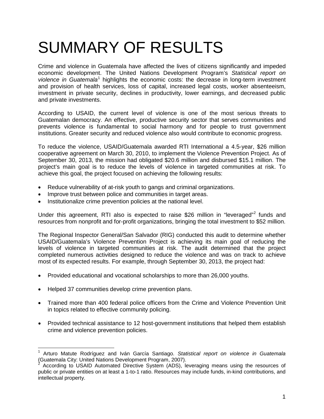# SUMMARY OF RESULTS

Crime and violence in Guatemala have affected the lives of citizens significantly and impeded economic development. The United Nations Development Program's *Statistical report on violence in Guatemala*[1](#page-3-0) highlights the economic costs: the decrease in long-term investment and provision of health services, loss of capital, increased legal costs, worker absenteeism, investment in private security, declines in productivity, lower earnings, and decreased public and private investments.

According to USAID, the current level of violence is one of the most serious threats to Guatemalan democracy. An effective, productive security sector that serves communities and prevents violence is fundamental to social harmony and for people to trust government institutions. Greater security and reduced violence also would contribute to economic progress.

To reduce the violence, USAID/Guatemala awarded RTI International a 4.5-year, \$26 million cooperative agreement on March 30, 2010, to implement the Violence Prevention Project. As of September 30, 2013, the mission had obligated \$20.6 million and disbursed \$15.1 million. The project's main goal is to reduce the levels of violence in targeted communities at risk. To achieve this goal, the project focused on achieving the following results:

- Reduce vulnerability of at-risk youth to gangs and criminal organizations.
- Improve trust between police and communities in target areas.
- Institutionalize crime prevention policies at the national level.

Under this agreement, RTI also is expected to raise \$[2](#page-3-1)6 million in "leveraged"<sup>2</sup> funds and resources from nonprofit and for-profit organizations, bringing the total investment to \$52 million.

The Regional Inspector General/San Salvador (RIG) conducted this audit to determine whether USAID/Guatemala's Violence Prevention Project is achieving its main goal of reducing the levels of violence in targeted communities at risk. The audit determined that the project completed numerous activities designed to reduce the violence and was on track to achieve most of its expected results. For example, through September 30, 2013, the project had:

- Provided educational and vocational scholarships to more than 26,000 youths.
- Helped 37 communities develop crime prevention plans.
- Trained more than 400 federal police officers from the Crime and Violence Prevention Unit in topics related to effective community policing.
- Provided technical assistance to 12 host-government institutions that helped them establish crime and violence prevention policies.

<span id="page-3-0"></span><sup>&</sup>lt;sup>1</sup> Arturo Matute Rodríguez and Iván García Santiago. *Statistical report on violence in Guatemala*<br>(Guatemala City: United Nations Development Program, 2007).<br><sup>2</sup> According to USAID Automated Directive Outtom (ADC).  $\overline{\phantom{a}}$ 

<span id="page-3-1"></span>According to USAID Automated Directive System (ADS), leveraging means using the resources of public or private entities on at least a 1-to-1 ratio. Resources may include funds, in-kind contributions, and intellectual property.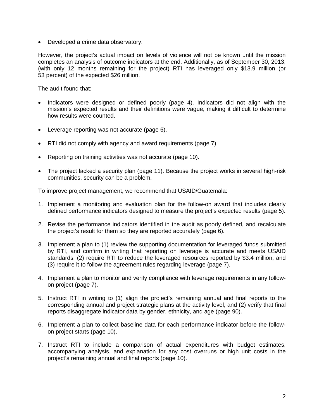• Developed a crime data observatory.

However, the project's actual impact on levels of violence will not be known until the mission completes an analysis of outcome indicators at the end. Additionally, as of September 30, 2013, (with only 12 months remaining for the project) RTI has leveraged only \$13.9 million (or 53 percent) of the expected \$26 million.

The audit found that:

- Indicators were designed or defined poorly (page 4). Indicators did not align with the mission's expected results and their definitions were vague, making it difficult to determine how results were counted.
- Leverage reporting was not accurate (page 6).
- RTI did not comply with agency and award requirements (page 7).
- Reporting on training activities was not accurate (page 10).
- The project lacked a security plan (page 11). Because the project works in several high-risk communities, security can be a problem.

To improve project management, we recommend that USAID/Guatemala:

- 1. Implement a monitoring and evaluation plan for the follow-on award that includes clearly defined performance indicators designed to measure the project's expected results (page 5).
- 2. Revise the performance indicators identified in the audit as poorly defined, and recalculate the project's result for them so they are reported accurately (page 6).
- 3. Implement a plan to (1) review the supporting documentation for leveraged funds submitted by RTI, and confirm in writing that reporting on leverage is accurate and meets USAID standards, (2) require RTI to reduce the leveraged resources reported by \$3.4 million, and (3) require it to follow the agreement rules regarding leverage (page 7).
- 4. Implement a plan to monitor and verify compliance with leverage requirements in any followon project (page 7).
- 5. Instruct RTI in writing to (1) align the project's remaining annual and final reports to the corresponding annual and project strategic plans at the activity level, and (2) verify that final reports disaggregate indicator data by gender, ethnicity, and age (page 90).
- 6. Implement a plan to collect baseline data for each performance indicator before the followon project starts (page 10).
- 7. Instruct RTI to include a comparison of actual expenditures with budget estimates, accompanying analysis, and explanation for any cost overruns or high unit costs in the project's remaining annual and final reports (page 10).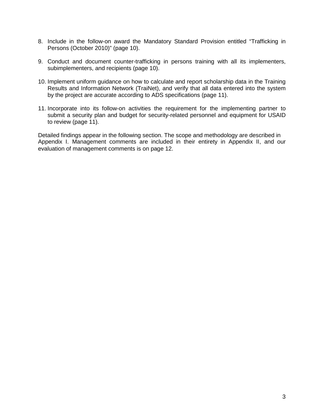- 8. Include in the follow-on award the Mandatory Standard Provision entitled "Trafficking in Persons (October 2010)" (page 10).
- 9. Conduct and document counter-trafficking in persons training with all its implementers, subimplementers, and recipients (page 10).
- 10. Implement uniform guidance on how to calculate and report scholarship data in the Training Results and Information Network (TraiNet), and verify that all data entered into the system by the project are accurate according to ADS specifications (page 11).
- 11. Incorporate into its follow-on activities the requirement for the implementing partner to submit a security plan and budget for security-related personnel and equipment for USAID to review (page 11).

Detailed findings appear in the following section. The scope and methodology are described in Appendix I. Management comments are included in their entirety in Appendix II, and our evaluation of management comments is on page 12.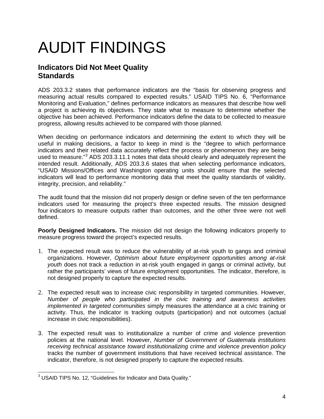# AUDIT FINDINGS

## **Indicators Did Not Meet Quality Standards**

ADS 203.3.2 states that performance indicators are the "basis for observing progress and measuring actual results compared to expected results." USAID TIPS No. 6, "Performance Monitoring and Evaluation," defines performance indicators as measures that describe how well a project is achieving its objectives. They state what to measure to determine whether the objective has been achieved. Performance indicators define the data to be collected to measure progress, allowing results achieved to be compared with those planned.

When deciding on performance indicators and determining the extent to which they will be useful in making decisions, a factor to keep in mind is the "degree to which performance indicators and their related data accurately reflect the process or phenomenon they are being used to measure."[3](#page-6-0) ADS 203.3.11.1 notes that data should clearly and adequately represent the intended result. Additionally, ADS 203.3.6 states that when selecting performance indicators, "USAID Missions/Offices and Washington operating units should ensure that the selected indicators will lead to performance monitoring data that meet the quality standards of validity, integrity, precision, and reliability."

The audit found that the mission did not properly design or define seven of the ten performance indicators used for measuring the project's three expected results. The mission designed four indicators to measure outputs rather than outcomes, and the other three were not well defined.

**Poorly Designed Indicators.** The mission did not design the following indicators properly to measure progress toward the project's expected results.

- 1. The expected result was to reduce the vulnerability of at-risk youth to gangs and criminal organizations. However, *Optimism about future employment opportunities among at-risk youth* does not track a reduction in at-risk youth engaged in gangs or criminal activity, but rather the participants' views of future employment opportunities. The indicator, therefore, is not designed properly to capture the expected results.
- 2. The expected result was to increase civic responsibility in targeted communities. However, *Number of people who participated in the civic training and awareness activities implemented in targeted communities* simply measures the attendance at a civic training or activity. Thus, the indicator is tracking outputs (participation) and not outcomes (actual increase in civic responsibilities).
- 3. The expected result was to institutionalize a number of crime and violence prevention policies at the national level. However, *Number of Government of Guatemala institutions receiving technical assistance toward institutionalizing crime and violence prevention policy* tracks the number of government institutions that have received technical assistance. The indicator, therefore, is not designed properly to capture the expected results.

<span id="page-6-0"></span> $^3$  USAID TIPS No. 12, "Guidelines for Indicator and Data Quality."  $\overline{\phantom{a}}$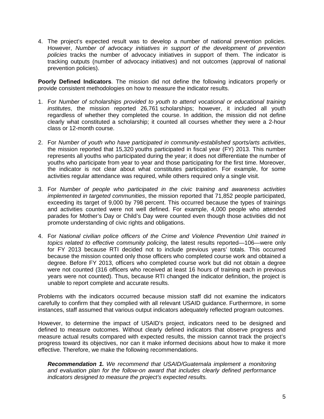4. The project's expected result was to develop a number of national prevention policies. However, *Number of advocacy initiatives in support of the development of prevention policies* tracks the number of advocacy initiatives in support of them. The indicator is tracking outputs (number of advocacy initiatives) and not outcomes (approval of national prevention policies).

**Poorly Defined Indicators**. The mission did not define the following indicators properly or provide consistent methodologies on how to measure the indicator results.

- 1. For *Number of scholarships provided to youth to attend vocational or educational training institutes*, the mission reported 26,761 scholarships; however, it included all youth regardless of whether they completed the course. In addition, the mission did not define clearly what constituted a scholarship; it counted all courses whether they were a 2-hour class or 12-month course.
- 2. For *Number of youth who have participated in community-established sports/arts activities*, the mission reported that 15,320 youths participated in fiscal year (FY) 2013. This number represents all youths who participated during the year; it does not differentiate the number of youths who participate from year to year and those participating for the first time. Moreover, the indicator is not clear about what constitutes participation. For example, for some activities regular attendance was required, while others required only a single visit.
- 3. For *Number of people who participated in the civic training and awareness activities implemented in targeted communities*, the mission reported that 71,852 people participated, exceeding its target of 9,000 by 798 percent. This occurred because the types of trainings and activities counted were not well defined. For example, 4,000 people who attended parades for Mother's Day or Child's Day were counted even though those activities did not promote understanding of civic rights and obligations.
- 4. For *National civilian police officers of the Crime and Violence Prevention Unit trained in topics related to effective community policing*, the latest results reported—106—were only for FY 2013 because RTI decided not to include previous years' totals. This occurred because the mission counted only those officers who completed course work and obtained a degree. Before FY 2013, officers who completed course work but did not obtain a degree were not counted (316 officers who received at least 16 hours of training each in previous years were not counted). Thus, because RTI changed the indicator definition, the project is unable to report complete and accurate results.

Problems with the indicators occurred because mission staff did not examine the indicators carefully to confirm that they complied with all relevant USAID guidance. Furthermore, in some instances, staff assumed that various output indicators adequately reflected program outcomes.

However, to determine the impact of USAID's project, indicators need to be designed and defined to measure outcomes. Without clearly defined indicators that observe progress and measure actual results compared with expected results, the mission cannot track the project's progress toward its objectives, nor can it make informed decisions about how to make it more effective. Therefore, we make the following recommendations.

*Recommendation 1. We recommend that USAID/Guatemala implement a monitoring and evaluation plan for the follow-on award that includes clearly defined performance indicators designed to measure the project's expected results.*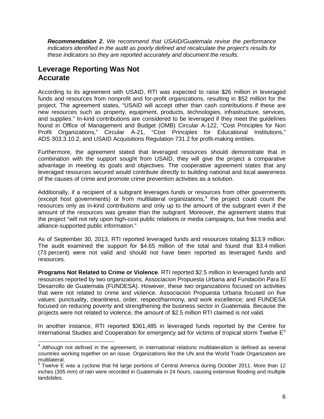*Recommendation 2. We recommend that USAID/Guatemala revise the performance indicators identified in the audit as poorly defined and recalculate the project's results for these indicators so they are reported accurately and document the results.*

## **Leverage Reporting Was Not Accurate**

According to its agreement with USAID, RTI was expected to raise \$26 million in leveraged funds and resources from nonprofit and for-profit organizations, resulting in \$52 million for the project. The agreement states, "USAID will accept other than cash contributions if these are new resources such as property, equipment, products, technologies, infrastructure, services, and supplies." In-kind contributions are considered to be leveraged if they meet the guidelines found in Office of Management and Budget (OMB) Circular A-122, "Cost Principles for Non Profit Organizations," Circular A-21, "Cost Principles for Educational Institutions," ADS 303.3.10.2, and USAID Acquisitions Regulation 731.2 for profit-making entities.

Furthermore, the agreement stated that leveraged resources should demonstrate that in combination with the support sought from USAID, they will give the project a comparative advantage in meeting its goals and objectives. The cooperative agreement states that any leveraged resources secured would contribute directly to building national and local awareness of the causes of crime and promote crime prevention activities as a solution.

Additionally, if a recipient of a subgrant leverages funds or resources from other governments (except host governments) or from multilateral organizations, [4](#page-8-0) the project could count the resources only as in-kind contributions and only up to the amount of the subgrant even if the amount of the resources was greater than the subgrant. Moreover, the agreement states that the project "will not rely upon high-cost public relations or media campaigns, but free media and alliance-supported public information."

As of September 30, 2013, RTI reported leveraged funds and resources totaling \$13.9 million. The audit examined the support for \$4.65 million of the total and found that \$3.4 million (73 percent) were not valid and should not have been reported as leveraged funds and resources.

**Programs Not Related to Crime or Violence**. RTI reported \$2.5 million in leveraged funds and resources reported by two organizations, Associacion Propuesta Urbana and Fundación Para El Desarrollo de Guatemala (FUNDESA). However, these two organizations focused on activities that were not related to crime and violence. Associacion Propuesta Urbana focused on five values: punctuality, cleanliness, order, respect/harmony, and work excellence; and FUNDESA focused on reducing poverty and strengthening the business sector in Guatemala. Because the projects were not related to violence, the amount of \$2.5 million RTI claimed is not valid.

In another instance, RTI reported \$361,485 in leveraged funds reported by the Centre for International Studies and Cooperation for emergency aid for victims of tropical storm Twelve  $E<sup>5</sup>$  $E<sup>5</sup>$  $E<sup>5</sup>$ 

<span id="page-8-0"></span> $<sup>4</sup>$  Although not defined in the agreement, in international relations multilateralism is defined as several</sup> countries working together on an issue. Organizations like the UN and the World Trade Organization are multilateral.  $\overline{\phantom{a}}$ 

<span id="page-8-1"></span><sup>&</sup>lt;sup>5</sup> Twelve E was a [cyclone](http://en.wikipedia.org/wiki/Tropical_cyclone) that hit large portions of Central [America](http://en.wikipedia.org/wiki/Central_America) during October 2011. More than 12 inches (305 mm) of rain were recorded in Guatemala in 24 hours, causing extensive flooding and multiple landslides.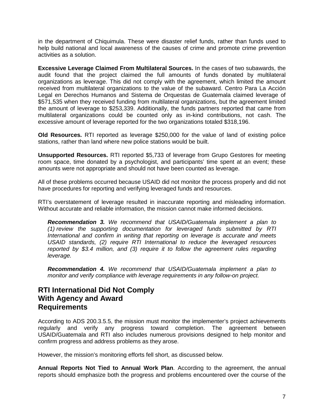in the department of Chiquimula. These were disaster relief funds, rather than funds used to help build national and local awareness of the causes of crime and promote crime prevention activities as a solution.

**Excessive Leverage Claimed From Multilateral Sources.** In the cases of two subawards, the audit found that the project claimed the full amounts of funds donated by multilateral organizations as leverage. This did not comply with the agreement, which limited the amount received from multilateral organizations to the value of the subaward. Centro Para La Acción Legal en Derechos Humanos and Sistema de Orquestas de Guatemala claimed leverage of \$571,535 when they received funding from multilateral organizations, but the agreement limited the amount of leverage to \$253,339. Additionally, the funds partners reported that came from multilateral organizations could be counted only as in-kind contributions, not cash. The excessive amount of leverage reported for the two organizations totaled \$318,196.

**Old Resources.** RTI reported as leverage \$250,000 for the value of land of existing police stations, rather than land where new police stations would be built.

**Unsupported Resources.** RTI reported \$5,733 of leverage from Grupo Gestores for meeting room space, time donated by a psychologist, and participants' time spent at an event; these amounts were not appropriate and should not have been counted as leverage.

All of these problems occurred because USAID did not monitor the process properly and did not have procedures for reporting and verifying leveraged funds and resources.

RTI's overstatement of leverage resulted in inaccurate reporting and misleading information. Without accurate and reliable information, the mission cannot make informed decisions.

*Recommendation 3. We recommend that USAID/Guatemala implement a plan to (1) review the supporting documentation for leveraged funds submitted by RTI International and confirm in writing that reporting on leverage is accurate and meets USAID standards, (2) require RTI International to reduce the leveraged resources reported by \$3.4 million, and (3) require it to follow the agreement rules regarding leverage.*

*Recommendation 4. We recommend that USAID/Guatemala implement a plan to monitor and verify compliance with leverage requirements in any follow-on project.*

## **RTI International Did Not Comply With Agency and Award Requirements**

According to ADS 200.3.5.5, the mission must monitor the implementer's project achievements regularly and verify any progress toward completion. The agreement between USAID/Guatemala and RTI also includes numerous provisions designed to help monitor and confirm progress and address problems as they arose.

However, the mission's monitoring efforts fell short, as discussed below.

**Annual Reports Not Tied to Annual Work Plan**. According to the agreement, the annual reports should emphasize both the progress and problems encountered over the course of the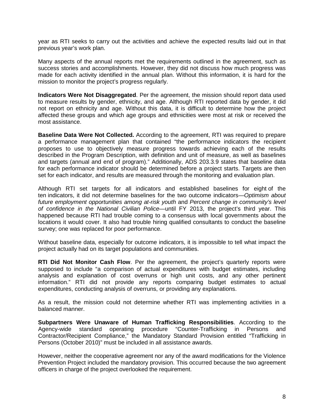year as RTI seeks to carry out the activities and achieve the expected results laid out in that previous year's work plan.

Many aspects of the annual reports met the requirements outlined in the agreement, such as success stories and accomplishments. However, they did not discuss how much progress was made for each activity identified in the annual plan. Without this information, it is hard for the mission to monitor the project's progress regularly.

**Indicators Were Not Disaggregated**. Per the agreement, the mission should report data used to measure results by gender, ethnicity, and age. Although RTI reported data by gender, it did not report on ethnicity and age. Without this data, it is difficult to determine how the project affected these groups and which age groups and ethnicities were most at risk or received the most assistance.

**Baseline Data Were Not Collected.** According to the agreement, RTI was required to prepare a performance management plan that contained "the performance indicators the recipient proposes to use to objectively measure progress towards achieving each of the results described in the Program Description, with definition and unit of measure, as well as baselines and targets (annual and end of program)." Additionally, ADS 203.3.9 states that baseline data for each performance indicator should be determined before a project starts. Targets are then set for each indicator, and results are measured through the monitoring and evaluation plan.

Although RTI set targets for all indicators and established baselines for eight of the ten indicators, it did not determine baselines for the two outcome indicators—*Optimism about future employment opportunities among at-risk youth* and *Percent change in community's level of confidence in the National Civilian Police—*until FY 2013, the project's third year. This happened because RTI had trouble coming to a consensus with local governments about the locations it would cover. It also had trouble hiring qualified consultants to conduct the baseline survey; one was replaced for poor performance.

Without baseline data, especially for outcome indicators, it is impossible to tell what impact the project actually had on its target populations and communities.

**RTI Did Not Monitor Cash Flow**. Per the agreement, the project's quarterly reports were supposed to include "a comparison of actual expenditures with budget estimates, including analysis and explanation of cost overruns or high unit costs, and any other pertinent information." RTI did not provide any reports comparing budget estimates to actual expenditures, conducting analysis of overruns, or providing any explanations.

As a result, the mission could not determine whether RTI was implementing activities in a balanced manner.

**Subpartners Were Unaware of Human Trafficking Responsibilities**. According to the Agency-wide standard operating procedure "Counter-Trafficking in Persons and Contractor/Recipient Compliance," the Mandatory Standard Provision entitled "Trafficking in Persons (October 2010)" must be included in all assistance awards.

However, neither the cooperative agreement nor any of the award modifications for the Violence Prevention Project included the mandatory provision. This occurred because the two agreement officers in charge of the project overlooked the requirement.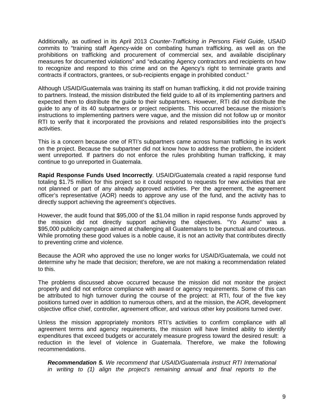Additionally, as outlined in its April 2013 *Counter-Trafficking in Persons Field Guide,* USAID commits to "training staff Agency-wide on combating human trafficking, as well as on the prohibitions on trafficking and procurement of commercial sex, and available disciplinary measures for documented violations" and "educating Agency contractors and recipients on how to recognize and respond to this crime and on the Agency's right to terminate grants and contracts if contractors, grantees, or sub-recipients engage in prohibited conduct."

Although USAID/Guatemala was training its staff on human trafficking, it did not provide training to partners. Instead, the mission distributed the field guide to all of its implementing partners and expected them to distribute the guide to their subpartners. However, RTI did not distribute the guide to any of its 40 subpartners or project recipients. This occurred because the mission's instructions to implementing partners were vague, and the mission did not follow up or monitor RTI to verify that it incorporated the provisions and related responsibilities into the project's activities.

This is a concern because one of RTI's subpartners came across human trafficking in its work on the project. Because the subpartner did not know how to address the problem, the incident went unreported. If partners do not enforce the rules prohibiting human trafficking, it may continue to go unreported in Guatemala.

**Rapid Response Funds Used Incorrectly**. USAID/Guatemala created a rapid response fund totaling \$1.75 million for this project so it could respond to requests for new activities that are not planned or part of any already approved activities. Per the agreement, the agreement officer's representative (AOR) needs to approve any use of the fund, and the activity has to directly support achieving the agreement's objectives.

However, the audit found that \$95,000 of the \$1.04 million in rapid response funds approved by the mission did not directly support achieving the objectives. "Yo Asumo" was a \$95,000 publicity campaign aimed at challenging all Guatemalans to be punctual and courteous. While promoting these good values is a noble cause, it is not an activity that contributes directly to preventing crime and violence.

Because the AOR who approved the use no longer works for USAID/Guatemala, we could not determine why he made that decision; therefore, we are not making a recommendation related to this.

The problems discussed above occurred because the mission did not monitor the project properly and did not enforce compliance with award or agency requirements. Some of this can be attributed to high turnover during the course of the project: at RTI, four of the five key positions turned over in addition to numerous others, and at the mission, the AOR, development objective office chief, controller, agreement officer, and various other key positions turned over.

Unless the mission appropriately monitors RTI's activities to confirm compliance with all agreement terms and agency requirements, the mission will have limited ability to identify expenditures that exceed budgets or accurately measure progress toward the desired result: a reduction in the level of violence in Guatemala. Therefore, we make the following recommendations.

*Recommendation 5. We recommend that USAID/Guatemala instruct RTI International in writing to (1) align the project's remaining annual and final reports to the*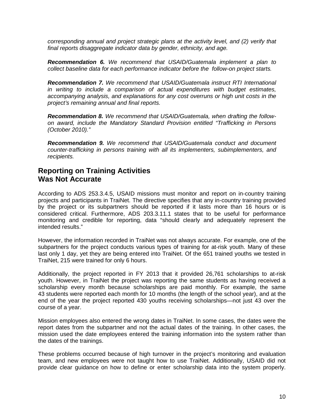*corresponding annual and project strategic plans at the activity level, and (2) verify that final reports disaggregate indicator data by gender, ethnicity, and age.* 

*Recommendation 6. We recommend that USAID/Guatemala implement a plan to collect baseline data for each performance indicator before the follow-on project starts.*

*Recommendation 7. We recommend that USAID/Guatemala instruct RTI International in writing to include a comparison of actual expenditures with budget estimates, accompanying analysis, and explanations for any cost overruns or high unit costs in the project's remaining annual and final reports.*

*Recommendation 8. We recommend that USAID/Guatemala, when drafting the followon award, include the Mandatory Standard Provision entitled "Trafficking in Persons (October 2010)."*

*Recommendation 9. We recommend that USAID/Guatemala conduct and document counter-trafficking in persons training with all its implementers, subimplementers, and recipients.*

## **Reporting on Training Activities Was Not Accurate**

According to ADS 253.3.4.5, USAID missions must monitor and report on in-country training projects and participants in TraiNet. The directive specifies that any in-country training provided by the project or its subpartners should be reported if it lasts more than 16 hours or is considered critical. Furthermore, ADS 203.3.11.1 states that to be useful for performance monitoring and credible for reporting, data "should clearly and adequately represent the intended results."

However, the information recorded in TraiNet was not always accurate. For example, one of the subpartners for the project conducts various types of training for at-risk youth. Many of these last only 1 day, yet they are being entered into TraiNet. Of the 651 trained youths we tested in TraiNet, 215 were trained for only 6 hours.

Additionally, the project reported in FY 2013 that it provided 26,761 scholarships to at-risk youth. However, in TraiNet the project was reporting the same students as having received a scholarship every month because scholarships are paid monthly. For example, the same 43 students were reported each month for 10 months (the length of the school year), and at the end of the year the project reported 430 youths receiving scholarships—not just 43 over the course of a year.

Mission employees also entered the wrong dates in TraiNet. In some cases, the dates were the report dates from the subpartner and not the actual dates of the training. In other cases, the mission used the date employees entered the training information into the system rather than the dates of the trainings.

These problems occurred because of high turnover in the project's monitoring and evaluation team, and new employees were not taught how to use TraiNet. Additionally, USAID did not provide clear guidance on how to define or enter scholarship data into the system properly.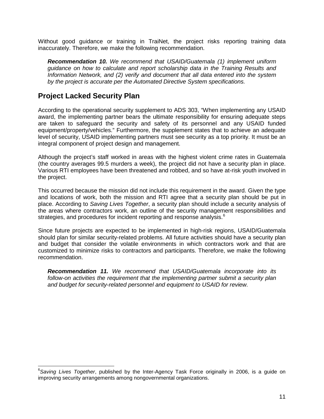Without good guidance or training in TraiNet, the project risks reporting training data inaccurately. Therefore, we make the following recommendation.

*Recommendation 10. We recommend that USAID/Guatemala (1) implement uniform guidance on how to calculate and report scholarship data in the Training Results and Information Network, and (2) verify and document that all data entered into the system by the project is accurate per the Automated Directive System specifications.*

## **Project Lacked Security Plan**

According to the operational security supplement to ADS 303, "When implementing any USAID award, the implementing partner bears the ultimate responsibility for ensuring adequate steps are taken to safeguard the security and safety of its personnel and any USAID funded equipment/property/vehicles." Furthermore, the supplement states that to achieve an adequate level of security, USAID implementing partners must see security as a top priority. It must be an integral component of project design and management.

Although the project's staff worked in areas with the highest violent crime rates in Guatemala (the country averages 99.5 murders a week), the project did not have a security plan in place. Various RTI employees have been threatened and robbed, and so have at-risk youth involved in the project.

This occurred because the mission did not include this requirement in the award. Given the type and locations of work, both the mission and RTI agree that a security plan should be put in place. According to *Saving Lives Together*, a security plan should include a security analysis of the areas where contractors work, an outline of the security management responsibilities and strategies, and procedures for incident reporting and response analysis.<sup>[6](#page-13-0)</sup>

Since future projects are expected to be implemented in high-risk regions, USAID/Guatemala should plan for similar security-related problems. All future activities should have a security plan and budget that consider the volatile environments in which contractors work and that are customized to minimize risks to contractors and participants. Therefore, we make the following recommendation.

*Recommendation 11. We recommend that USAID/Guatemala incorporate into its follow-on activities the requirement that the implementing partner submit a security plan and budget for security-related personnel and equipment to USAID for review.*

<span id="page-13-0"></span><sup>6</sup> *Saving Lives Together*, published by the Inter-Agency Task Force originally in 2006, is a guide on improving security arrangements among nongovernmental organizations.  $\overline{\phantom{a}}$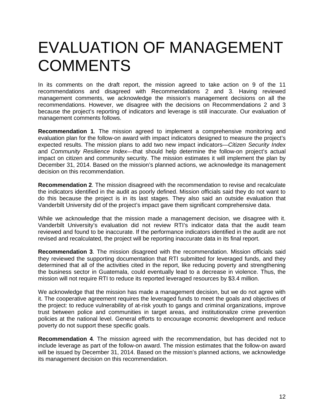## EVALUATION OF MANAGEMENT **COMMENTS**

In its comments on the draft report, the mission agreed to take action on 9 of the 11 recommendations and disagreed with Recommendations 2 and 3. Having reviewed management comments, we acknowledge the mission's management decisions on all the recommendations. However, we disagree with the decisions on Recommendations 2 and 3 because the project's reporting of indicators and leverage is still inaccurate. Our evaluation of management comments follows.

**Recommendation 1**. The mission agreed to implement a comprehensive monitoring and evaluation plan for the follow-on award with impact indicators designed to measure the project's expected results. The mission plans to add two new impact indicators—*Citizen Security Index* and *Community Resilience Index—*that should help determine the follow-on project's actual impact on citizen and community security. The mission estimates it will implement the plan by December 31, 2014. Based on the mission's planned actions, we acknowledge its management decision on this recommendation.

**Recommendation 2**. The mission disagreed with the recommendation to revise and recalculate the indicators identified in the audit as poorly defined. Mission officials said they do not want to do this because the project is in its last stages. They also said an outside evaluation that Vanderbilt University did of the project's impact gave them significant comprehensive data.

While we acknowledge that the mission made a management decision, we disagree with it. Vanderbilt University's evaluation did not review RTI's indicator data that the audit team reviewed and found to be inaccurate. If the performance indicators identified in the audit are not revised and recalculated, the project will be reporting inaccurate data in its final report.

**Recommendation 3**. The mission disagreed with the recommendation. Mission officials said they reviewed the supporting documentation that RTI submitted for leveraged funds, and they determined that all of the activities cited in the report, like reducing poverty and strengthening the business sector in Guatemala, could eventually lead to a decrease in violence. Thus, the mission will not require RTI to reduce its reported leveraged resources by \$3.4 million.

We acknowledge that the mission has made a management decision, but we do not agree with it. The cooperative agreement requires the leveraged funds to meet the goals and objectives of the project: to reduce vulnerability of at-risk youth to gangs and criminal organizations, improve trust between police and communities in target areas, and institutionalize crime prevention policies at the national level. General efforts to encourage economic development and reduce poverty do not support these specific goals.

**Recommendation 4**. The mission agreed with the recommendation, but has decided not to include leverage as part of the follow-on award. The mission estimates that the follow-on award will be issued by December 31, 2014. Based on the mission's planned actions, we acknowledge its management decision on this recommendation.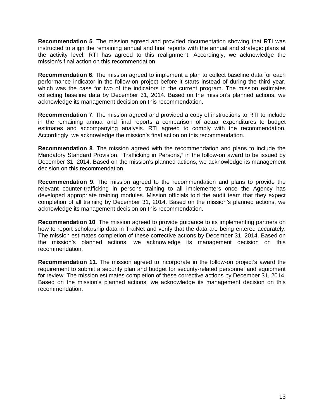**Recommendation 5**. The mission agreed and provided documentation showing that RTI was instructed to align the remaining annual and final reports with the annual and strategic plans at the activity level. RTI has agreed to this realignment. Accordingly, we acknowledge the mission's final action on this recommendation.

**Recommendation 6**. The mission agreed to implement a plan to collect baseline data for each performance indicator in the follow-on project before it starts instead of during the third year, which was the case for two of the indicators in the current program. The mission estimates collecting baseline data by December 31, 2014. Based on the mission's planned actions, we acknowledge its management decision on this recommendation.

**Recommendation 7**. The mission agreed and provided a copy of instructions to RTI to include in the remaining annual and final reports a comparison of actual expenditures to budget estimates and accompanying analysis. RTI agreed to comply with the recommendation. Accordingly, we acknowledge the mission's final action on this recommendation.

**Recommendation 8**. The mission agreed with the recommendation and plans to include the Mandatory Standard Provision, "Trafficking in Persons," in the follow-on award to be issued by December 31, 2014. Based on the mission's planned actions, we acknowledge its management decision on this recommendation.

**Recommendation 9**. The mission agreed to the recommendation and plans to provide the relevant counter-trafficking in persons training to all implementers once the Agency has developed appropriate training modules. Mission officials told the audit team that they expect completion of all training by December 31, 2014. Based on the mission's planned actions, we acknowledge its management decision on this recommendation.

**Recommendation 10**. The mission agreed to provide guidance to its implementing partners on how to report scholarship data in TraiNet and verify that the data are being entered accurately. The mission estimates completion of these corrective actions by December 31, 2014. Based on the mission's planned actions, we acknowledge its management decision on this recommendation.

**Recommendation 11**. The mission agreed to incorporate in the follow-on project's award the requirement to submit a security plan and budget for security-related personnel and equipment for review. The mission estimates completion of these corrective actions by December 31, 2014. Based on the mission's planned actions, we acknowledge its management decision on this recommendation.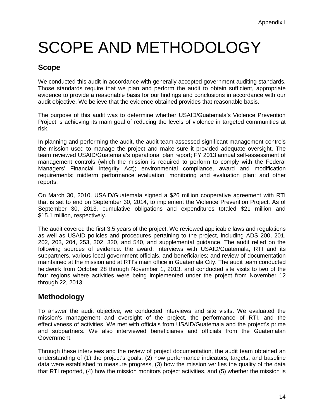# SCOPE AND METHODOLOGY

## **Scope**

We conducted this audit in accordance with generally accepted government auditing standards. Those standards require that we plan and perform the audit to obtain sufficient, appropriate evidence to provide a reasonable basis for our findings and conclusions in accordance with our audit objective. We believe that the evidence obtained provides that reasonable basis.

The purpose of this audit was to determine whether USAID/Guatemala's Violence Prevention Project is achieving its main goal of reducing the levels of violence in targeted communities at risk.

In planning and performing the audit, the audit team assessed significant management controls the mission used to manage the project and make sure it provided adequate oversight. The team reviewed USAID/Guatemala's operational plan report; FY 2013 annual self-assessment of management controls (which the mission is required to perform to comply with the Federal Managers' Financial Integrity Act); environmental compliance, award and modification requirements; midterm performance evaluation, monitoring and evaluation plan; and other reports.

On March 30, 2010, USAID/Guatemala signed a \$26 million cooperative agreement with RTI that is set to end on September 30, 2014, to implement the Violence Prevention Project. As of September 30, 2013, cumulative obligations and expenditures totaled \$21 million and \$15.1 million, respectively.

The audit covered the first 3.5 years of the project. We reviewed applicable laws and regulations as well as USAID policies and procedures pertaining to the project, including ADS 200, 201, 202, 203, 204, 253, 302, 320, and 540, and supplemental guidance. The audit relied on the following sources of evidence: the award; interviews with USAID/Guatemala, RTI and its subpartners, various local government officials, and beneficiaries; and review of documentation maintained at the mission and at RTI's main office in Guatemala City. The audit team conducted fieldwork from October 28 through November 1, 2013, and conducted site visits to two of the four regions where activities were being implemented under the project from November 12 through 22, 2013.

## **Methodology**

To answer the audit objective, we conducted interviews and site visits. We evaluated the mission's management and oversight of the project, the performance of RTI, and the effectiveness of activities. We met with officials from USAID/Guatemala and the project's prime and subpartners. We also interviewed beneficiaries and officials from the Guatemalan Government.

Through these interviews and the review of project documentation, the audit team obtained an understanding of (1) the project's goals, (2) how performance indicators, targets, and baseline data were established to measure progress, (3) how the mission verifies the quality of the data that RTI reported, (4) how the mission monitors project activities, and (5) whether the mission is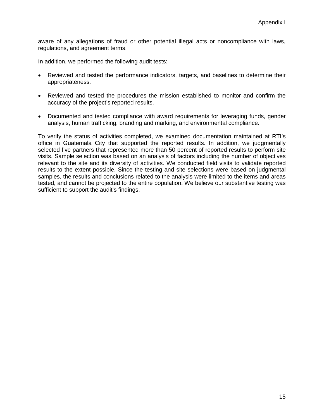aware of any allegations of fraud or other potential illegal acts or noncompliance with laws, regulations, and agreement terms.

In addition, we performed the following audit tests:

- Reviewed and tested the performance indicators, targets, and baselines to determine their appropriateness.
- Reviewed and tested the procedures the mission established to monitor and confirm the accuracy of the project's reported results.
- Documented and tested compliance with award requirements for leveraging funds, gender analysis, human trafficking, branding and marking, and environmental compliance.

To verify the status of activities completed, we examined documentation maintained at RTI's office in Guatemala City that supported the reported results. In addition, we judgmentally selected five partners that represented more than 50 percent of reported results to perform site visits. Sample selection was based on an analysis of factors including the number of objectives relevant to the site and its diversity of activities. We conducted field visits to validate reported results to the extent possible. Since the testing and site selections were based on judgmental samples, the results and conclusions related to the analysis were limited to the items and areas tested, and cannot be projected to the entire population. We believe our substantive testing was sufficient to support the audit's findings.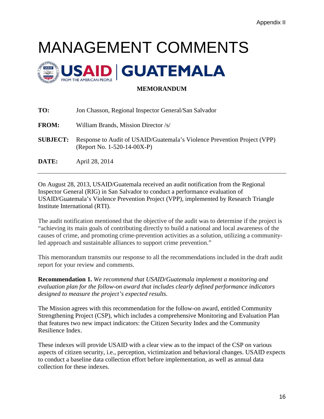# MANAGEMENT COMMENTS



### **MEMORANDUM**

| TO:             | Jon Chasson, Regional Inspector General/San Salvador                                                    |
|-----------------|---------------------------------------------------------------------------------------------------------|
| <b>FROM:</b>    | William Brands, Mission Director /s/                                                                    |
| <b>SUBJECT:</b> | Response to Audit of USAID/Guatemala's Violence Prevention Project (VPP)<br>(Report No. 1-520-14-00X-P) |
| DATE:           | April 28, 2014                                                                                          |

On August 28, 2013, USAID/Guatemala received an audit notification from the Regional Inspector General (RIG) in San Salvador to conduct a performance evaluation of USAID/Guatemala's Violence Prevention Project (VPP), implemented by Research Triangle Institute International (RTI).

The audit notification mentioned that the objective of the audit was to determine if the project is "achieving its main goals of contributing directly to build a national and local awareness of the causes of crime, and promoting crime-prevention activities as a solution, utilizing a communityled approach and sustainable alliances to support crime prevention."

This memorandum transmits our response to all the recommendations included in the draft audit report for your review and comments.

**Recommendation 1.** *We recommend that USAID/Guatemala implement a monitoring and evaluation plan for the follow-on award that includes clearly defined performance indicators designed to measure the project's expected results.*

The Mission agrees with this recommendation for the follow-on award, entitled Community Strengthening Project (CSP), which includes a comprehensive Monitoring and Evaluation Plan that features two new impact indicators: the Citizen Security Index and the Community Resilience Index.

These indexes will provide USAID with a clear view as to the impact of the CSP on various aspects of citizen security, i.e., perception, victimization and behavioral changes. USAID expects to conduct a baseline data collection effort before implementation, as well as annual data collection for these indexes.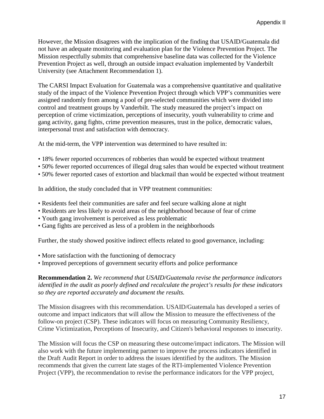However, the Mission disagrees with the implication of the finding that USAID/Guatemala did not have an adequate monitoring and evaluation plan for the Violence Prevention Project. The Mission respectfully submits that comprehensive baseline data was collected for the Violence Prevention Project as well, through an outside impact evaluation implemented by Vanderbilt University (see Attachment Recommendation 1).

The CARSI Impact Evaluation for Guatemala was a comprehensive quantitative and qualitative study of the impact of the Violence Prevention Project through which VPP's communities were assigned randomly from among a pool of pre-selected communities which were divided into control and treatment groups by Vanderbilt. The study measured the project's impact on perception of crime victimization, perceptions of insecurity, youth vulnerability to crime and gang activity, gang fights, crime prevention measures, trust in the police, democratic values, interpersonal trust and satisfaction with democracy.

At the mid-term, the VPP intervention was determined to have resulted in:

- 18% fewer reported occurrences of robberies than would be expected without treatment
- 50% fewer reported occurrences of illegal drug sales than would be expected without treatment
- 50% fewer reported cases of extortion and blackmail than would be expected without treatment

In addition, the study concluded that in VPP treatment communities:

- Residents feel their communities are safer and feel secure walking alone at night
- Residents are less likely to avoid areas of the neighborhood because of fear of crime
- Youth gang involvement is perceived as less problematic
- Gang fights are perceived as less of a problem in the neighborhoods

Further, the study showed positive indirect effects related to good governance, including:

- More satisfaction with the functioning of democracy
- Improved perceptions of government security efforts and police performance

**Recommendation 2.** *We recommend that USAID/Guatemala revise the performance indicators identified in the audit as poorly defined and recalculate the project's results for these indicators so they are reported accurately and document the results.*

The Mission disagrees with this recommendation. USAID/Guatemala has developed a series of outcome and impact indicators that will allow the Mission to measure the effectiveness of the follow-on project (CSP). These indicators will focus on measuring Community Resiliency, Crime Victimization, Perceptions of Insecurity, and Citizen's behavioral responses to insecurity.

The Mission will focus the CSP on measuring these outcome/impact indicators. The Mission will also work with the future implementing partner to improve the process indicators identified in the Draft Audit Report in order to address the issues identified by the auditors. The Mission recommends that given the current late stages of the RTI-implemented Violence Prevention Project (VPP), the recommendation to revise the performance indicators for the VPP project,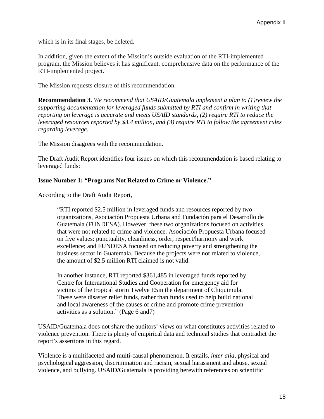which is in its final stages, be deleted.

In addition, given the extent of the Mission's outside evaluation of the RTI-implemented program, the Mission believes it has significant, comprehensive data on the performance of the RTI-implemented project.

The Mission requests closure of this recommendation.

**Recommendation 3.** *We recommend that USAID/Guatemala implement a plan to (1)review the supporting documentation for leveraged funds submitted by RTI and confirm in writing that reporting on leverage is accurate and meets USAID standards, (2) require RTI to reduce the leveraged resources reported by \$3.4 million, and (3) require RTI to follow the agreement rules regarding leverage.*

The Mission disagrees with the recommendation.

The Draft Audit Report identifies four issues on which this recommendation is based relating to leveraged funds:

#### **Issue Number 1: "Programs Not Related to Crime or Violence."**

According to the Draft Audit Report,

"RTI reported \$2.5 million in leveraged funds and resources reported by two organizations, Asociación Propuesta Urbana and Fundación para el Desarrollo de Guatemala (FUNDESA). However, these two organizations focused on activities that were not related to crime and violence. Asociación Propuesta Urbana focused on five values: punctuality, cleanliness, order, respect/harmony and work excellence; and FUNDESA focused on reducing poverty and strengthening the business sector in Guatemala. Because the projects were not related to violence, the amount of \$2.5 million RTI claimed is not valid.

In another instance, RTI reported \$361,485 in leveraged funds reported by Centre for International Studies and Cooperation for emergency aid for victims of the tropical storm Twelve E5in the department of Chiquimula. These were disaster relief funds, rather than funds used to help build national and local awareness of the causes of crime and promote crime prevention activities as a solution." (Page 6 and7)

USAID/Guatemala does not share the auditors' views on what constitutes activities related to violence prevention. There is plenty of empirical data and technical studies that contradict the report's assertions in this regard.

Violence is a multifaceted and multi-causal phenomenon. It entails, *inter alia,* physical and psychological aggression, discrimination and racism, sexual harassment and abuse, sexual violence, and bullying. USAID/Guatemala is providing herewith references on scientific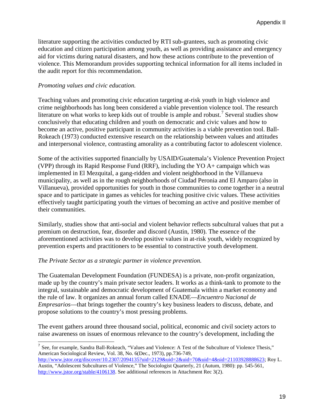literature supporting the activities conducted by RTI sub-grantees, such as promoting civic education and citizen participation among youth, as well as providing assistance and emergency aid for victims during natural disasters, and how these actions contribute to the prevention of violence. This Memorandum provides supporting technical information for all items included in the audit report for this recommendation.

#### *Promoting values and civic education.*

Teaching values and promoting civic education targeting at-risk youth in high violence and crime neighborhoods has long been considered a viable prevention violence tool. The research literature on what works to keep kids out of trouble is ample and robust.<sup>[7](#page-21-0)</sup> Several studies show conclusively that educating children and youth on democratic and civic values and how to become an active, positive participant in community activities is a viable prevention tool. Ball-Rokeach (1973) conducted extensive research on the relationship between values and attitudes and interpersonal violence, contrasting amorality as a contributing factor to adolescent violence.

Some of the activities supported financially by USAID/Guatemala's Violence Prevention Project (VPP) through its Rapid Response Fund (RRF), including the YO A+ campaign which was implemented in El Mezquital, a gang-ridden and violent neighborhood in the Villanueva municipality, as well as in the rough neighborhoods of Ciudad Peronia and El Amparo (also in Villanueva), provided opportunities for youth in those communities to come together in a neutral space and to participate in games as vehicles for teaching positive civic values. These activities effectively taught participating youth the virtues of becoming an active and positive member of their communities.

Similarly, studies show that anti-social and violent behavior reflects subcultural values that put a premium on destruction, fear, disorder and discord (Austin, 1980). The essence of the aforementioned activities was to develop positive values in at-risk youth, widely recognized by prevention experts and practitioners to be essential to constructive youth development.

#### *The Private Sector as a strategic partner in violence prevention.*

The Guatemalan Development Foundation (FUNDESA) is a private, non-profit organization, made up by the country's main private sector leaders. It works as a think-tank to promote to the integral, sustainable and democratic development of Guatemala within a market economy and the rule of law. It organizes an annual forum called ENADE—*Encuentro Nacional de Empresarios*—that brings together the country's key business leaders to discuss, debate, and propose solutions to the country's most pressing problems.

The event gathers around three thousand social, political, economic and civil society actors to raise awareness on issues of enormous relevance to the country's development, including the

<span id="page-21-0"></span><sup>&</sup>lt;sup>7</sup> See, for example, Sandra Ball-Rokeach, "Values and Violence: A Test of the Subculture of Violence Thesis," American Sociological Review, Vol. 38, No. 6(Dec., 1973), pp.736-749,  $\overline{a}$ 

[http://www.jstor.org/discover/10.2307/2094135?uid=2129&uid=2&uid=70&uid=4&sid=21103928888623;](http://www.jstor.org/discover/10.2307/2094135?uid=2129&uid=2&uid=70&uid=4&sid=21103928888623) Roy L. Austin, "Adolescent Subcultures of Violence," The Sociologist Quarterly, 21 (Autum, 1980): pp. 545-561, [http://www.jstor.org/stable/4106138.](http://www.jstor.org/stable/4106138) See additional references in Attachment Rec 3(2).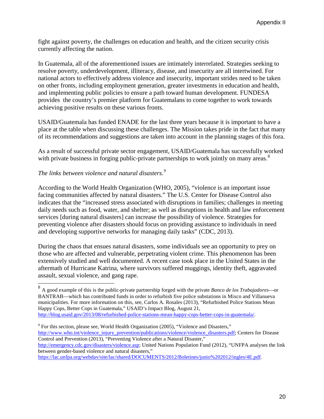fight against poverty, the challenges on education and health, and the citizen security crisis currently affecting the nation.

In Guatemala, all of the aforementioned issues are intimately interrelated. Strategies seeking to resolve poverty, underdevelopment, illiteracy, disease, and insecurity are all intertwined. For national actors to effectively address violence and insecurity, important strides need to be taken on other fronts, including employment generation, greater investments in education and health, and implementing public policies to ensure a path toward human development. FUNDESA provides the country's premier platform for Guatemalans to come together to work towards achieving positive results on these various fronts.

USAID/Guatemala has funded ENADE for the last three years because it is important to have a place at the table when discussing these challenges. The Mission takes pride in the fact that many of its recommendations and suggestions are taken into account in the planning stages of this fora.

As a result of successful private sector engagement, USAID/Guatemala has successfully worked with private business in forging public-private partnerships to work jointly on many areas.<sup>[8](#page-22-0)</sup>

## *The links between violence and natural disasters.[9](#page-22-1)*

 $\overline{a}$ 

According to the World Health Organization (WHO, 2005), "violence is an important issue facing communities affected by natural disasters." The U.S. Center for Disease Control also indicates that the "increased stress associated with disruptions in families; challenges in meeting daily needs such as food, water, and shelter; as well as disruptions in health and law enforcement services [during natural disasters] can increase the possibility of violence. Strategies for preventing violence after disasters should focus on providing assistance to individuals in need and developing supportive networks for managing daily tasks" (CDC, 2013).

During the chaos that ensues natural disasters, some individuals see an opportunity to prey on those who are affected and vulnerable, perpetrating violent crime. This phenomenon has been extensively studied and well documented. A recent case took place in the United States in the aftermath of Hurricane Katrina, where survivors suffered muggings, identity theft, aggravated assault, sexual violence, and gang rape.

<span id="page-22-0"></span><sup>8</sup> A good example of this is the public-private partnership forged with the private *Banco de los Trabajadores*—or BANTRAB—which has contributed funds in order to refurbish five police substations in Mixco and Villanueva municipalities. For more information on this, see, Carlos A. Rosales (2013), "Refurbished Police Stations Mean Happy Cops, Better Cops in Guatemala," USAID's Impact Blog, August 21, [http://blog.usaid.gov/2013/08/refurbished-police-stations-mean-happy-cops-better-cops-in-guatemala/.](http://blog.usaid.gov/2013/08/refurbished-police-stations-mean-happy-cops-better-cops-in-guatemala/)

<span id="page-22-1"></span><sup>9</sup> For this section, please see, World Health Organization (2005), "Violence and Disasters," [http://www.who.int/violence\\_injury\\_prevention/publications/violence/violence\\_disasters.pdf;](http://www.who.int/violence_injury_prevention/publications/violence/violence_disasters.pdf) Centers for Disease Control and Prevention (2013), "Preventing Violence after a Natural Disaster," [http://emergency.cdc.gov/disasters/violence.asp;](http://emergency.cdc.gov/disasters/violence.asp) United Nations Population Fund (2012), "UNFPA analyses the link between gender-based violence and natural disasters,"

[https://lac.unfpa.org/webdav/site/lac/shared/DOCUMENTS/2012/Boletines/junio%202012/ingles/4E.pdf.](https://lac.unfpa.org/webdav/site/lac/shared/DOCUMENTS/2012/Boletines/junio%202012/ingles/4E.pdf)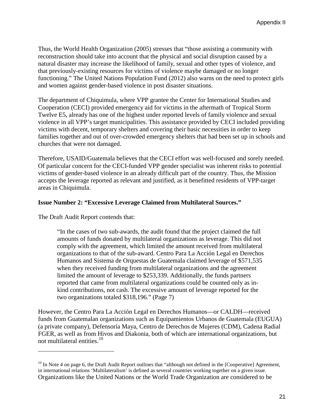Thus, the World Health Organization (2005) stresses that "those assisting a community with reconstruction should take into account that the physical and social disruption caused by a natural disaster may increase the likelihood of family, sexual and other types of violence, and that previously-existing resources for victims of violence maybe damaged or no longer functioning." The United Nations Population Fund (2012) also warns on the need to protect girls and women against gender-based violence in post disaster situations.

The department of Chiquimula, where VPP grantee the Center for International Studies and Cooperation (CECI) provided emergency aid for victims in the aftermath of Tropical Storm Twelve E5, already has one of the highest under reported levels of family violence and sexual violence in all VPP's target municipalities. This assistance provided by CECI included providing victims with decent, temporary shelters and covering their basic necessities in order to keep families together and out of over-crowded emergency shelters that had been set up in schools and churches that were not damaged.

Therefore, USAID/Guatemala believes that the CECI effort was well-focused and sorely needed. Of particular concern for the CECI-funded VPP gender specialist was inherent risks to potential victims of gender-based violence in an already difficult part of the country. Thus, the Mission accepts the leverage reported as relevant and justified, as it benefitted residents of VPP-target areas in Chiquimula.

#### **Issue Number 2: "Excessive Leverage Claimed from Multilateral Sources."**

The Draft Audit Report contends that:

 $\ddot{\phantom{a}}$ 

"In the cases of two sub-awards, the audit found that the project claimed the full amounts of funds donated by multilateral organizations as leverage. This did not comply with the agreement, which limited the amount received from multilateral organizations to that of the sub-award. Centro Para La Acción Legal en Derechos Humanos and Sistema de Orquestas de Guatemala claimed leverage of \$571,535 when they received funding from multilateral organizations and the agreement limited the amount of leverage to \$253,339. Additionally, the funds partners reported that came from multilateral organizations could be counted only as inkind contributions, not cash. The excessive amount of leverage reported for the two organizations totaled \$318,196." (Page 7)

However, the Centro Para La Acción Legal en Derechos Humanos—or CALDH—received funds from Guatemalan organizations such as Equipamientos Urbanos de Guatemala (EUGUA) (a private company), Defensoría Maya, Centro de Derechos de Mujeres (CDM), Cadena Radial FGER, as well as from Hivos and Diakonia, both of which are international organizations, but not multilateral entities. [10](#page-23-0)

<span id="page-23-0"></span> $10$  In Note 4 on page 6, the Draft Audit Report outlines that "although not defined in the [Cooperative] Agreement, in international relations 'Multilateralism' is defined as several countries working together on a given issue. Organizations like the United Nations or the World Trade Organization are considered to be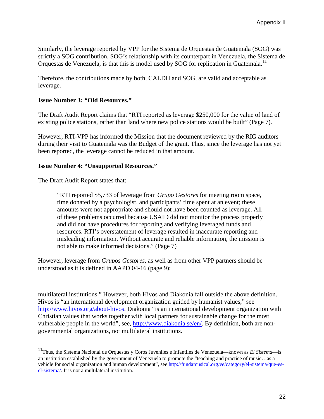Similarly, the leverage reported by VPP for the Sistema de Orquestas de Guatemala (SOG) was strictly a SOG contribution. SOG's relationship with its counterpart in Venezuela, the Sistema de Orquestas de Venezuela, is that this is model used by SOG for replication in Guatemala.<sup>[11](#page-24-0)</sup>

Therefore, the contributions made by both, CALDH and SOG, are valid and acceptable as leverage.

#### **Issue Number 3: "Old Resources."**

The Draft Audit Report claims that "RTI reported as leverage \$250,000 for the value of land of existing police stations, rather than land where new police stations would be built" (Page 7).

However, RTI-VPP has informed the Mission that the document reviewed by the RIG auditors during their visit to Guatemala was the Budget of the grant. Thus, since the leverage has not yet been reported, the leverage cannot be reduced in that amount.

#### **Issue Number 4: "Unsupported Resources."**

The Draft Audit Report states that:

 $\ddot{\phantom{a}}$ 

"RTI reported \$5,733 of leverage from *Grupo Gestores* for meeting room space, time donated by a psychologist, and participants' time spent at an event; these amounts were not appropriate and should not have been counted as leverage. All of these problems occurred because USAID did not monitor the process properly and did not have procedures for reporting and verifying leveraged funds and resources. RTI's overstatement of leverage resulted in inaccurate reporting and misleading information. Without accurate and reliable information, the mission is not able to make informed decisions." (Page 7)

However, leverage from *Grupos Gestores,* as well as from other VPP partners should be understood as it is defined in AAPD 04-16 (page 9):

multilateral institutions." However, both Hivos and Diakonia fall outside the above definition. Hivos is "an international development organization guided by humanist values," see [http://www.hivos.org/about-hivos.](http://www.hivos.org/about-hivos) Diakonia "is an international development organization with Christian values that works together with local partners for sustainable change for the most vulnerable people in the world", see, [http://www.diakonia.se/en/.](http://www.diakonia.se/en/) By definition, both are nongovernmental organizations, not multilateral institutions.

<span id="page-24-0"></span><sup>&</sup>lt;sup>11</sup>Thus, the Sistema Nacional de Orquestas y Coros Juveniles e Infantiles de Venezuela—known as *El Sistema*—is an institution established by the government of Venezuela to promote the "teaching and practice of music…as a vehicle for social organization and human development", see [http://fundamusical.org.ve/category/el-sistema/que-es](http://fundamusical.org.ve/category/el-sistema/que-es-el-sistema/)[el-sistema/.](http://fundamusical.org.ve/category/el-sistema/que-es-el-sistema/) It is not a multilateral institution.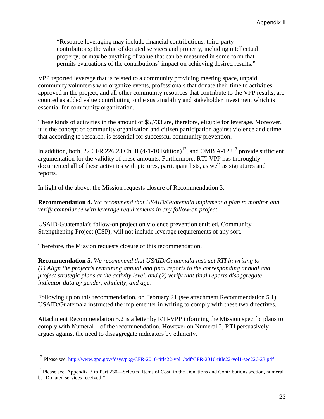"Resource leveraging may include financial contributions; third-party contributions; the value of donated services and property, including intellectual property; or may be anything of value that can be measured in some form that permits evaluations of the contributions' impact on achieving desired results."

VPP reported leverage that is related to a community providing meeting space, unpaid community volunteers who organize events, professionals that donate their time to activities approved in the project, and all other community resources that contribute to the VPP results, are counted as added value contributing to the sustainability and stakeholder investment which is essential for community organization.

These kinds of activities in the amount of \$5,733 are, therefore, eligible for leverage. Moreover, it is the concept of community organization and citizen participation against violence and crime that according to research, is essential for successful community prevention.

In addition, both, 22 CFR 226.23 Ch. II  $(4-1-10 \text{ Edition})^{12}$  $(4-1-10 \text{ Edition})^{12}$  $(4-1-10 \text{ Edition})^{12}$ , and OMB A-122<sup>[13](#page-25-1)</sup> provide sufficient argumentation for the validity of these amounts. Furthermore, RTI-VPP has thoroughly documented all of these activities with pictures, participant lists, as well as signatures and reports.

In light of the above, the Mission requests closure of Recommendation 3.

**Recommendation 4.** *We recommend that USAID/Guatemala implement a plan to monitor and verify compliance with leverage requirements in any follow-on project.*

USAID-Guatemala's follow-on project on violence prevention entitled, Community Strengthening Project (CSP), will not include leverage requirements of any sort.

Therefore, the Mission requests closure of this recommendation.

 $\overline{a}$ 

**Recommendation 5.** *We recommend that USAID/Guatemala instruct RTI in writing to (1) Align the project's remaining annual and final reports to the corresponding annual and project strategic plans at the activity level, and (2) verify that final reports disaggregate indicator data by gender, ethnicity, and age.*

Following up on this recommendation, on February 21 (see attachment Recommendation 5.1), USAID/Guatemala instructed the implementer in writing to comply with these two directives.

Attachment Recommendation 5.2 is a letter by RTI-VPP informing the Mission specific plans to comply with Numeral 1 of the recommendation. However on Numeral 2, RTI persuasively argues against the need to disaggregate indicators by ethnicity.

<span id="page-25-0"></span><sup>&</sup>lt;sup>12</sup> Please see,<http://www.gpo.gov/fdsys/pkg/CFR-2010-title22-vol1/pdf/CFR-2010-title22-vol1-sec226-23.pdf>

<span id="page-25-1"></span> $<sup>13</sup>$  Please see, Appendix B to Part 230—Selected Items of Cost, in the Donations and Contributions section, numeral</sup> b. "Donated services received."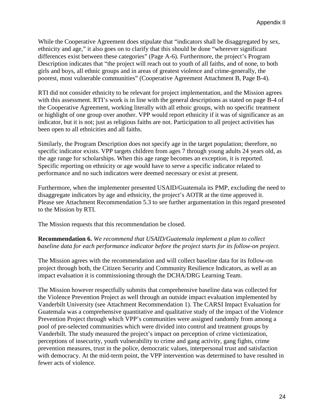While the Cooperative Agreement does stipulate that "indicators shall be disaggregated by sex, ethnicity and age," it also goes on to clarify that this should be done "wherever significant differences exist between these categories" (Page A-6). Furthermore, the project's Program Description indicates that "the project will reach out to youth of all faiths, and of none, to both girls and boys, all ethnic groups and in areas of greatest violence and crime-generally, the poorest, most vulnerable communities" (Cooperative Agreement Attachment B, Page B-4).

RTI did not consider ethnicity to be relevant for project implementation, and the Mission agrees with this assessment. RTI's work is in line with the general descriptions as stated on page B-4 of the Cooperative Agreement, working literally with all ethnic groups, with no specific treatment or highlight of one group over another. VPP would report ethnicity if it was of significance as an indicator, but it is not; just as religious faiths are not. Participation to all project activities has been open to all ethnicities and all faiths.

Similarly, the Program Description does not specify age in the target population; therefore, no specific indicator exists. VPP targets children from ages 7 through young adults 24 years old, as the age range for scholarships. When this age range becomes an exception, it is reported. Specific reporting on ethnicity or age would have to serve a specific indicator related to performance and no such indicators were deemed necessary or exist at present.

Furthermore, when the implementer presented USAID/Guatemala its PMP, excluding the need to disaggregate indicators by age and ethnicity, the project's AOTR at the time approved it. Please see Attachment Recommendation 5.3 to see further argumentation in this regard presented to the Mission by RTI.

The Mission requests that this recommendation be closed.

### **Recommendation 6.** *We recommend that USAID/Guatemala implement a plan to collect baseline data for each performance indicator before the project starts for its follow-on project.*

The Mission agrees with the recommendation and will collect baseline data for its follow-on project through both, the Citizen Security and Community Resilience Indicators, as well as an impact evaluation it is commissioning through the DCHA/DRG Learning Team.

The Mission however respectfully submits that comprehensive baseline data was collected for the Violence Prevention Project as well through an outside impact evaluation implemented by Vanderbilt University (see Attachment Recommendation 1). The CARSI Impact Evaluation for Guatemala was a comprehensive quantitative and qualitative study of the impact of the Violence Prevention Project through which VPP's communities were assigned randomly from among a pool of pre-selected communities which were divided into control and treatment groups by Vanderbilt. The study measured the project's impact on perception of crime victimization, perceptions of insecurity, youth vulnerability to crime and gang activity, gang fights, crime prevention measures, trust in the police, democratic values, interpersonal trust and satisfaction with democracy. At the mid-term point, the VPP intervention was determined to have resulted in fewer acts of violence.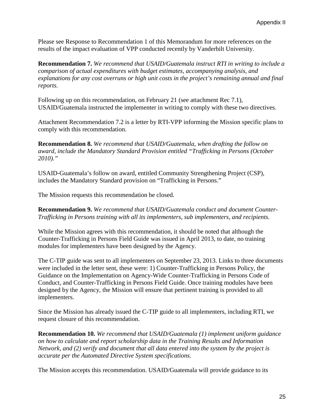Please see Response to Recommendation 1 of this Memorandum for more references on the results of the impact evaluation of VPP conducted recently by Vanderbilt University.

**Recommendation 7.** *We recommend that USAID/Guatemala instruct RTI in writing to include a comparison of actual expenditures with budget estimates, accompanying analysis, and explanations for any cost overruns or high unit costs in the project's remaining annual and final reports.*

Following up on this recommendation, on February 21 (see attachment Rec 7.1), USAID/Guatemala instructed the implementer in writing to comply with these two directives.

Attachment Recommendation 7.2 is a letter by RTI-VPP informing the Mission specific plans to comply with this recommendation.

**Recommendation 8.** *We recommend that USAID/Guatemala, when drafting the follow on award, include the Mandatory Standard Provision entitled "Trafficking in Persons (October 2010)."*

USAID-Guatemala's follow on award, entitled Community Strengthening Project (CSP), includes the Mandatory Standard provision on "Trafficking in Persons."

The Mission requests this recommendation be closed.

**Recommendation 9.** *We recommend that USAID/Guatemala conduct and document Counter-Trafficking in Persons training with all its implementers, sub implementers, and recipients.*

While the Mission agrees with this recommendation, it should be noted that although the Counter-Trafficking in Persons Field Guide was issued in April 2013, to date, no training modules for implementers have been designed by the Agency.

The C-TIP guide was sent to all implementers on September 23, 2013. Links to three documents were included in the letter sent, these were: 1) Counter-Trafficking in Persons Policy, the Guidance on the Implementation on Agency-Wide Counter-Trafficking in Persons Code of Conduct, and Counter-Trafficking in Persons Field Guide. Once training modules have been designed by the Agency, the Mission will ensure that pertinent training is provided to all implementers.

Since the Mission has already issued the C-TIP guide to all implementers, including RTI, we request closure of this recommendation.

**Recommendation 10.** *We recommend that USAID/Guatemala (1) implement uniform guidance on how to calculate and report scholarship data in the Training Results and Information Network, and (2) verify and document that all data entered into the system by the project is accurate per the Automated Directive System specifications.*

The Mission accepts this recommendation. USAID/Guatemala will provide guidance to its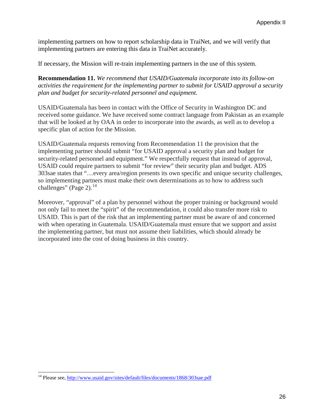implementing partners on how to report scholarship data in TraiNet, and we will verify that implementing partners are entering this data in TraiNet accurately.

If necessary, the Mission will re-train implementing partners in the use of this system.

**Recommendation 11.** *We recommend that USAID/Guatemala incorporate into its follow-on activities the requirement for the implementing partner to submit for USAID approval a security plan and budget for security-related personnel and equipment.*

USAID/Guatemala has been in contact with the Office of Security in Washington DC and received some guidance. We have received some contract language from Pakistan as an example that will be looked at by OAA in order to incorporate into the awards, as well as to develop a specific plan of action for the Mission.

USAID/Guatemala requests removing from Recommendation 11 the provision that the implementing partner should submit "for USAID approval a security plan and budget for security-related personnel and equipment." We respectfully request that instead of approval, USAID could require partners to submit "for review" their security plan and budget. ADS 303sae states that "…every area/region presents its own specific and unique security challenges, so implementing partners must make their own determinations as to how to address such challenges" (Page 2). $^{14}$  $^{14}$  $^{14}$ 

Moreover, "approval" of a plan by personnel without the proper training or background would not only fail to meet the "spirit" of the recommendation, it could also transfer more risk to USAID. This is part of the risk that an implementing partner must be aware of and concerned with when operating in Guatemala. USAID/Guatemala must ensure that we support and assist the implementing partner, but must not assume their liabilities, which should already be incorporated into the cost of doing business in this country.

<span id="page-28-0"></span><sup>&</sup>lt;sup>14</sup> Please see,<http://www.usaid.gov/sites/default/files/documents/1868/303sae.pdf>  $\overline{\phantom{a}}$